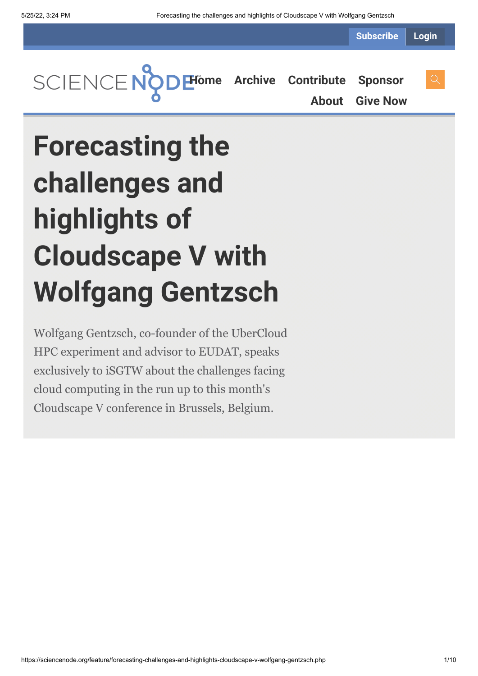**Subscribe Login**



**[About](https://sciencenode.org/about/index.php) [Give Now](https://sciencenode.org/donate/index.php)**

# **Forecasting the challenges and highlights of Cloudscape V with Wolfgang Gentzsch**

Wolfgang Gentzsch, co-founder of the UberCloud HPC experiment and advisor to EUDAT, speaks exclusively to iSGTW about the challenges facing cloud computing in the run up to this month's Cloudscape V conference in Brussels, Belgium.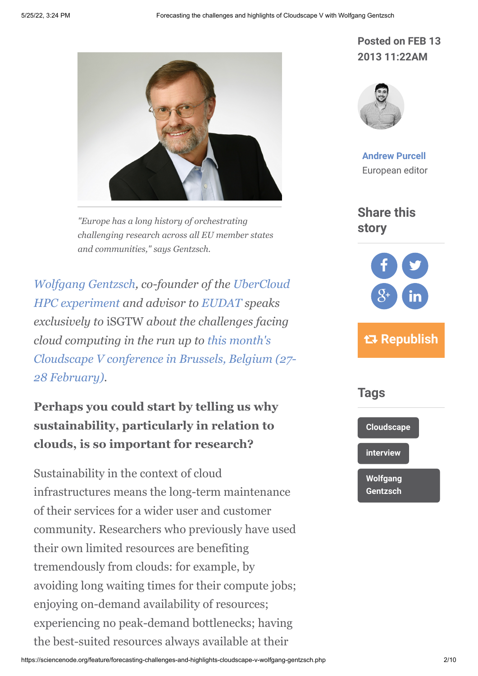

*"Europe has a long history of orchestrating challenging research across all EU member states and communities," says Gentzsch.*

*[Wolfgang Gentzsch](http://www.cloudscapeseries.eu/Content/Speakers.aspx?id=143)[, co-founder of the UberCloud](http://www.hpcexperiment.com/) HPC experiment and advisor to [EUDAT](http://www.eudat.eu/) speaks exclusively to* iSGTW *about the challenges facing cloud computing in the run up to this month's [Cloudscape V conference in Brussels, Belgium \(27-](http://www.cloudscapeseries.eu/Pages/Home.aspx) 28 February).*

## **Perhaps you could start by telling us why sustainability, particularly in relation to clouds, is so important for research?**

Sustainability in the context of cloud infrastructures means the long-term maintenance of their services for a wider user and customer community. Researchers who previously have used their own limited resources are benefiting tremendously from clouds: for example, by avoiding long waiting times for their compute jobs; enjoying on-demand availability of resources; experiencing no peak-demand bottlenecks; having the best-suited resources always available at their

#### **Posted on FEB 13 2013 11:22AM**



**[Andrew Purcell](https://sciencenode.org/author/andrew-purcell.php)** European editor

**Share this story**



# **Republish**



**[Wolfgang](https://sciencenode.org/tag/?tag=Wolfgang%20Gentzsch) Gentzsch**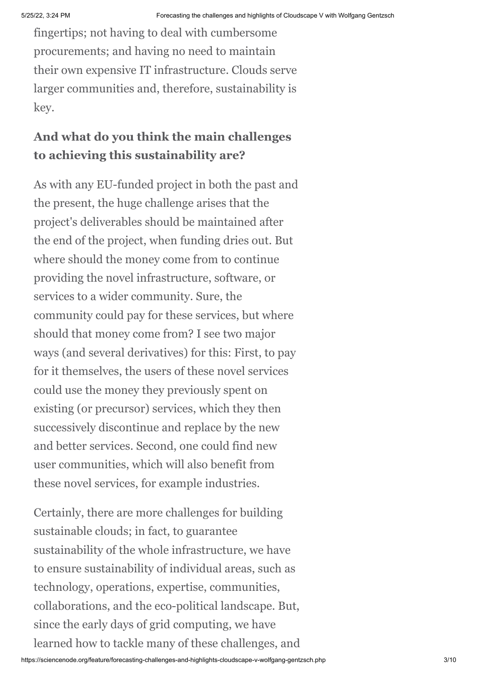fingertips; not having to deal with cumbersome procurements; and having no need to maintain their own expensive IT infrastructure. Clouds serve larger communities and, therefore, sustainability is key.

### **And what do you think the main challenges to achieving this sustainability are?**

As with any EU-funded project in both the past and the present, the huge challenge arises that the project's deliverables should be maintained after the end of the project, when funding dries out. But where should the money come from to continue providing the novel infrastructure, software, or services to a wider community. Sure, the community could pay for these services, but where should that money come from? I see two major ways (and several derivatives) for this: First, to pay for it themselves, the users of these novel services could use the money they previously spent on existing (or precursor) services, which they then successively discontinue and replace by the new and better services. Second, one could find new user communities, which will also benefit from these novel services, for example industries.

Certainly, there are more challenges for building sustainable clouds; in fact, to guarantee sustainability of the whole infrastructure, we have to ensure sustainability of individual areas, such as technology, operations, expertise, communities, collaborations, and the eco-political landscape. But, since the early days of grid computing, we have learned how to tackle many of these challenges, and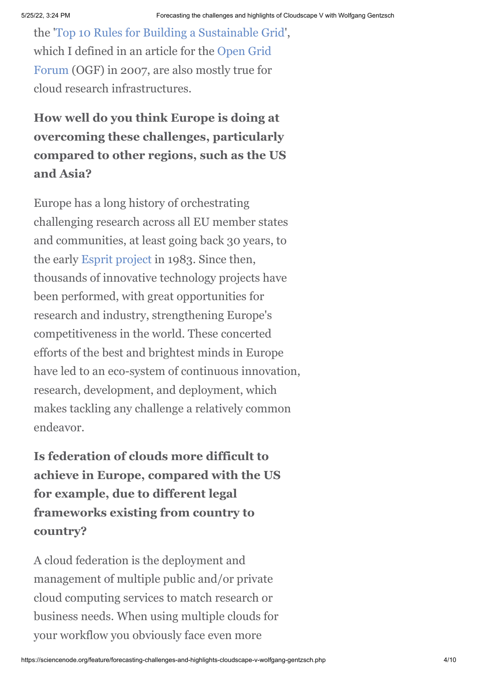the '[Top 10 Rules for Building a Sustainable Grid](http://www.gridforum.org/TLS/documents/TLS-Top10RulesForSustainableGrid.pdf)', [which I defined in an article for the Open Grid](http://www.gridforum.org/) Forum (OGF) in 2007, are also mostly true for cloud research infrastructures.

**How well do you think Europe is doing at overcoming these challenges, particularly compared to other regions, such as the US and Asia?**

Europe has a long history of orchestrating challenging research across all EU member states and communities, at least going back 30 years, to the early [Esprit project](http://en.wikipedia.org/wiki/European_Strategic_Program_on_Research_in_Information_Technology) in 1983. Since then, thousands of innovative technology projects have been performed, with great opportunities for research and industry, strengthening Europe's competitiveness in the world. These concerted efforts of the best and brightest minds in Europe have led to an eco-system of continuous innovation, research, development, and deployment, which makes tackling any challenge a relatively common endeavor.

**Is federation of clouds more difficult to achieve in Europe, compared with the US for example, due to different legal frameworks existing from country to country?**

A cloud federation is the deployment and management of multiple public and/or private cloud computing services to match research or business needs. When using multiple clouds for your workflow you obviously face even more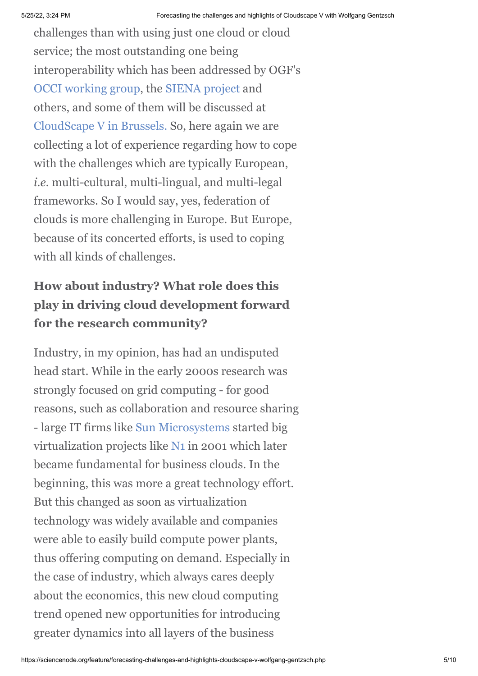challenges than with using just one cloud or cloud service; the most outstanding one being interoperability which has been addressed by OGF's [OCCI working group](http://occi-wg.org/), the [SIENA project](http://www.sienaproject.com/index.html) and others, and some of them will be discussed at [CloudScape V in Brussels.](http://www.cloudscapeseries.eu/Pages/Home.aspx) So, here again we are collecting a lot of experience regarding how to cope with the challenges which are typically European, *i.e.* multi-cultural, multi-lingual, and multi-legal frameworks. So I would say, yes, federation of clouds is more challenging in Europe. But Europe, because of its concerted efforts, is used to coping with all kinds of challenges.

# **How about industry? What role does this play in driving cloud development forward for the research community?**

Industry, in my opinion, has had an undisputed head start. While in the early 2000s research was strongly focused on grid computing - for good reasons, such as collaboration and resource sharing - large IT firms like [Sun Microsystems](http://en.wikipedia.org/wiki/Sun_Microsystems) started big virtualization projects like [N1](http://en.wikipedia.org/wiki/N1_Grid_Engine) in 2001 which later became fundamental for business clouds. In the beginning, this was more a great technology effort. But this changed as soon as virtualization technology was widely available and companies were able to easily build compute power plants, thus offering computing on demand. Especially in the case of industry, which always cares deeply about the economics, this new cloud computing trend opened new opportunities for introducing greater dynamics into all layers of the business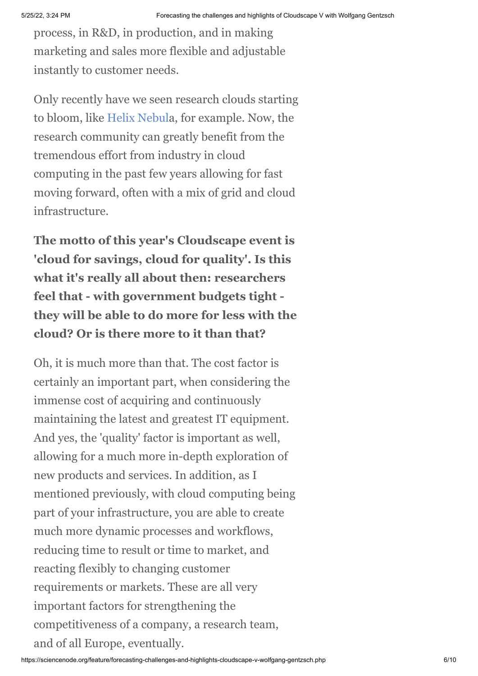process, in R&D, in production, and in making marketing and sales more flexible and adjustable instantly to customer needs.

Only recently have we seen research clouds starting to bloom, like [Helix Nebula](http://helix-nebula.eu/), for example. Now, the research community can greatly benefit from the tremendous effort from industry in cloud computing in the past few years allowing for fast moving forward, often with a mix of grid and cloud infrastructure.

**The motto of this year's Cloudscape event is 'cloud for savings, cloud for quality'. Is this what it's really all about then: researchers feel that - with government budgets tight they will be able to do more for less with the cloud? Or is there more to it than that?**

Oh, it is much more than that. The cost factor is certainly an important part, when considering the immense cost of acquiring and continuously maintaining the latest and greatest IT equipment. And yes, the 'quality' factor is important as well, allowing for a much more in-depth exploration of new products and services. In addition, as I mentioned previously, with cloud computing being part of your infrastructure, you are able to create much more dynamic processes and workflows, reducing time to result or time to market, and reacting flexibly to changing customer requirements or markets. These are all very important factors for strengthening the competitiveness of a company, a research team, and of all Europe, eventually.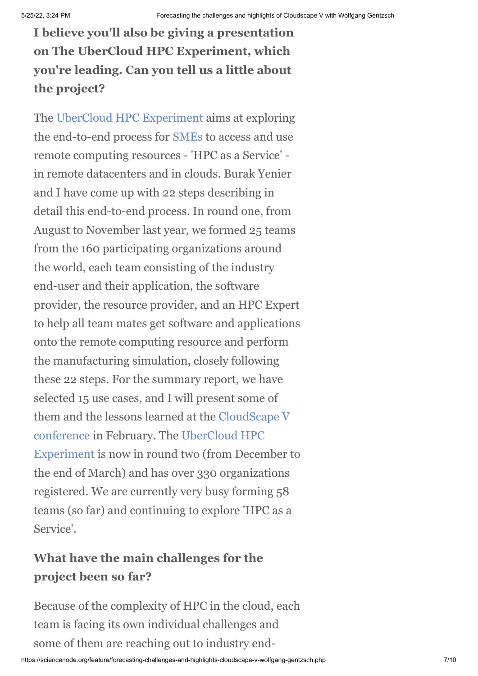**I believe you'll also be giving a presentation on The UberCloud HPC Experiment, which you're leading. Can you tell us a little about the project?**

The [UberCloud HPC Experiment](http://www.hpcexperiment.com/) aims at exploring the end-to-end process for [SMEs](http://en.wikipedia.org/wiki/Small_and_medium_enterprises) to access and use remote computing resources - 'HPC as a Service' in remote datacenters and in clouds. Burak Yenier and I have come up with 22 steps describing in detail this end-to-end process. In round one, from August to November last year, we formed 25 teams from the 160 participating organizations around the world, each team consisting of the industry end-user and their application, the software provider, the resource provider, and an HPC Expert to help all team mates get software and applications onto the remote computing resource and perform the manufacturing simulation, closely following these 22 steps. For the summary report, we have selected 15 use cases, and I will present some of [them and the lessons learned at the CloudScape V](http://www.cloudscapeseries.eu/Pages/Home.aspx) conference in February. The UberCloud HPC [Experiment is now in round two \(from Decem](http://www.hpcexperiment.com/)ber to the end of March) and has over 330 organizations registered. We are currently very busy forming 58 teams (so far) and continuing to explore 'HPC as a Service'.

### **What have the main challenges for the project been so far?**

Because of the complexity of HPC in the cloud, each team is facing its own individual challenges and some of them are reaching out to industry end-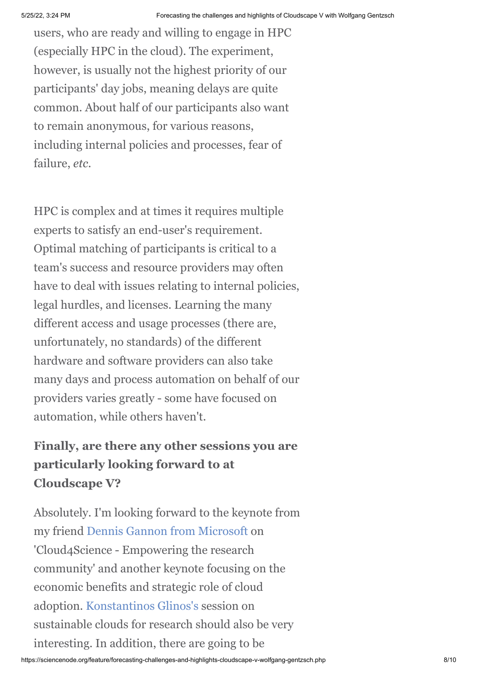users, who are ready and willing to engage in HPC (especially HPC in the cloud). The experiment, however, is usually not the highest priority of our participants' day jobs, meaning delays are quite common. About half of our participants also want to remain anonymous, for various reasons, including internal policies and processes, fear of failure, *etc*.

HPC is complex and at times it requires multiple experts to satisfy an end-user's requirement. Optimal matching of participants is critical to a team's success and resource providers may often have to deal with issues relating to internal policies, legal hurdles, and licenses. Learning the many different access and usage processes (there are, unfortunately, no standards) of the different hardware and software providers can also take many days and process automation on behalf of our providers varies greatly - some have focused on automation, while others haven't.

# **Finally, are there any other sessions you are particularly looking forward to at Cloudscape V?**

Absolutely. I'm looking forward to the keynote from my friend [Dennis Gannon from Microsoft](http://research.microsoft.com/en-us/people/degannon/) on 'Cloud4Science - Empowering the research community' and another keynote focusing on the economic benefits and strategic role of cloud adoption. [Konstantinos Glinos's](http://cordis.europa.eu/fp7/ict/e-infrastructure/home_en.html) session on sustainable clouds for research should also be very interesting. In addition, there are going to be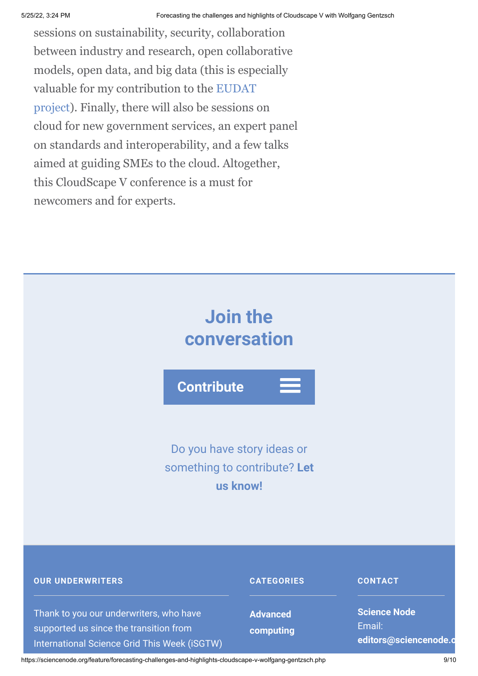sessions on sustainability, security, collaboration between industry and research, open collaborative models, open data, and big data (this is especially [valuable for my contribution to the EUDAT](http://www.eudat.eu/) project). Finally, there will also be sessions on cloud for new government services, an expert panel on standards and interoperability, and a few talks aimed at guiding SMEs to the cloud. Altogether, this CloudScape V conference is a must for newcomers and for experts.